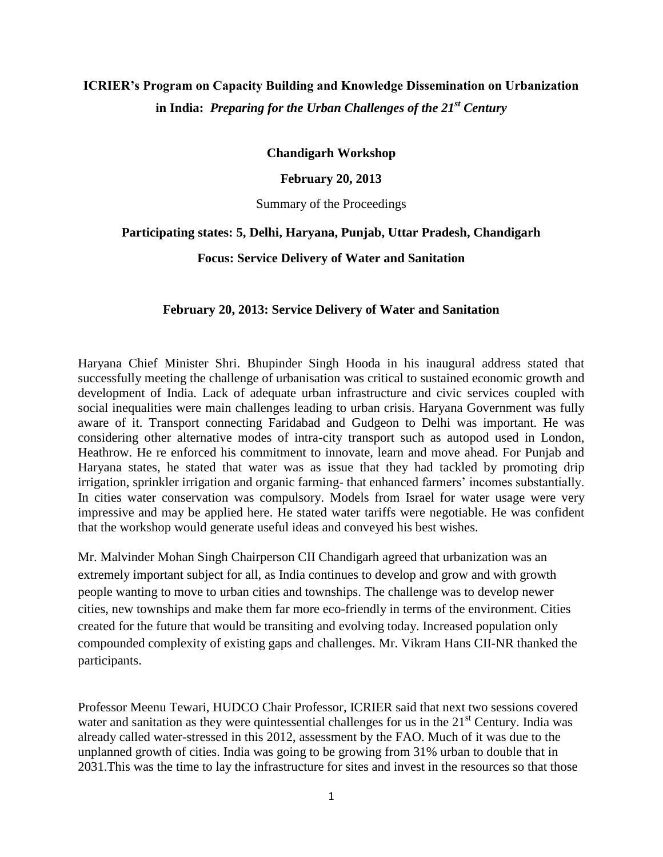# **ICRIER's Program on Capacity Building and Knowledge Dissemination on Urbanization in India:** *Preparing for the Urban Challenges of the 21st Century*

**Chandigarh Workshop**

**February 20, 2013**

Summary of the Proceedings

## **Participating states: 5, Delhi, Haryana, Punjab, Uttar Pradesh, Chandigarh**

**Focus: Service Delivery of Water and Sanitation** 

#### **February 20, 2013: Service Delivery of Water and Sanitation**

Haryana Chief Minister Shri. Bhupinder Singh Hooda in his inaugural address stated that successfully meeting the challenge of urbanisation was critical to sustained economic growth and development of India. Lack of adequate urban infrastructure and civic services coupled with social inequalities were main challenges leading to urban crisis. Haryana Government was fully aware of it. Transport connecting Faridabad and Gudgeon to Delhi was important. He was considering other alternative modes of intra-city transport such as autopod used in London, Heathrow. He re enforced his commitment to innovate, learn and move ahead. For Punjab and Haryana states, he stated that water was as issue that they had tackled by promoting drip irrigation, sprinkler irrigation and organic farming- that enhanced farmers' incomes substantially. In cities water conservation was compulsory. Models from Israel for water usage were very impressive and may be applied here. He stated water tariffs were negotiable. He was confident that the workshop would generate useful ideas and conveyed his best wishes.

Mr. Malvinder Mohan Singh Chairperson CII Chandigarh agreed that urbanization was an extremely important subject for all, as India continues to develop and grow and with growth people wanting to move to urban cities and townships. The challenge was to develop newer cities, new townships and make them far more eco-friendly in terms of the environment. Cities created for the future that would be transiting and evolving today. Increased population only compounded complexity of existing gaps and challenges. Mr. Vikram Hans CII-NR thanked the participants.

Professor Meenu Tewari, HUDCO Chair Professor, ICRIER said that next two sessions covered water and sanitation as they were quintessential challenges for us in the  $21<sup>st</sup>$  Century. India was already called water-stressed in this 2012, assessment by the FAO. Much of it was due to the unplanned growth of cities. India was going to be growing from 31% urban to double that in 2031.This was the time to lay the infrastructure for sites and invest in the resources so that those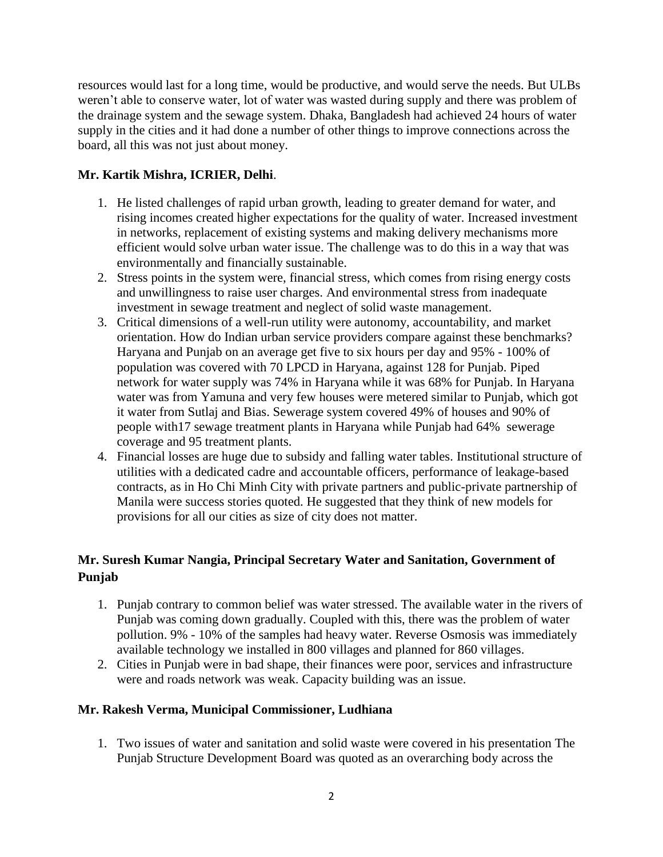resources would last for a long time, would be productive, and would serve the needs. But ULBs weren't able to conserve water, lot of water was wasted during supply and there was problem of the drainage system and the sewage system. Dhaka, Bangladesh had achieved 24 hours of water supply in the cities and it had done a number of other things to improve connections across the board, all this was not just about money.

## **Mr. Kartik Mishra, ICRIER, Delhi**.

- 1. He listed challenges of rapid urban growth, leading to greater demand for water, and rising incomes created higher expectations for the quality of water. Increased investment in networks, replacement of existing systems and making delivery mechanisms more efficient would solve urban water issue. The challenge was to do this in a way that was environmentally and financially sustainable.
- 2. Stress points in the system were, financial stress, which comes from rising energy costs and unwillingness to raise user charges. And environmental stress from inadequate investment in sewage treatment and neglect of solid waste management.
- 3. Critical dimensions of a well-run utility were autonomy, accountability, and market orientation. How do Indian urban service providers compare against these benchmarks? Haryana and Punjab on an average get five to six hours per day and 95% - 100% of population was covered with 70 LPCD in Haryana, against 128 for Punjab. Piped network for water supply was 74% in Haryana while it was 68% for Punjab. In Haryana water was from Yamuna and very few houses were metered similar to Punjab, which got it water from Sutlaj and Bias. Sewerage system covered 49% of houses and 90% of people with17 sewage treatment plants in Haryana while Punjab had 64% sewerage coverage and 95 treatment plants.
- 4. Financial losses are huge due to subsidy and falling water tables. Institutional structure of utilities with a dedicated cadre and accountable officers, performance of leakage-based contracts, as in Ho Chi Minh City with private partners and public-private partnership of Manila were success stories quoted. He suggested that they think of new models for provisions for all our cities as size of city does not matter.

# **Mr. Suresh Kumar Nangia, Principal Secretary Water and Sanitation, Government of Punjab**

- 1. Punjab contrary to common belief was water stressed. The available water in the rivers of Punjab was coming down gradually. Coupled with this, there was the problem of water pollution. 9% - 10% of the samples had heavy water. Reverse Osmosis was immediately available technology we installed in 800 villages and planned for 860 villages.
- 2. Cities in Punjab were in bad shape, their finances were poor, services and infrastructure were and roads network was weak. Capacity building was an issue.

## **Mr. Rakesh Verma, Municipal Commissioner, Ludhiana**

1. Two issues of water and sanitation and solid waste were covered in his presentation The Punjab Structure Development Board was quoted as an overarching body across the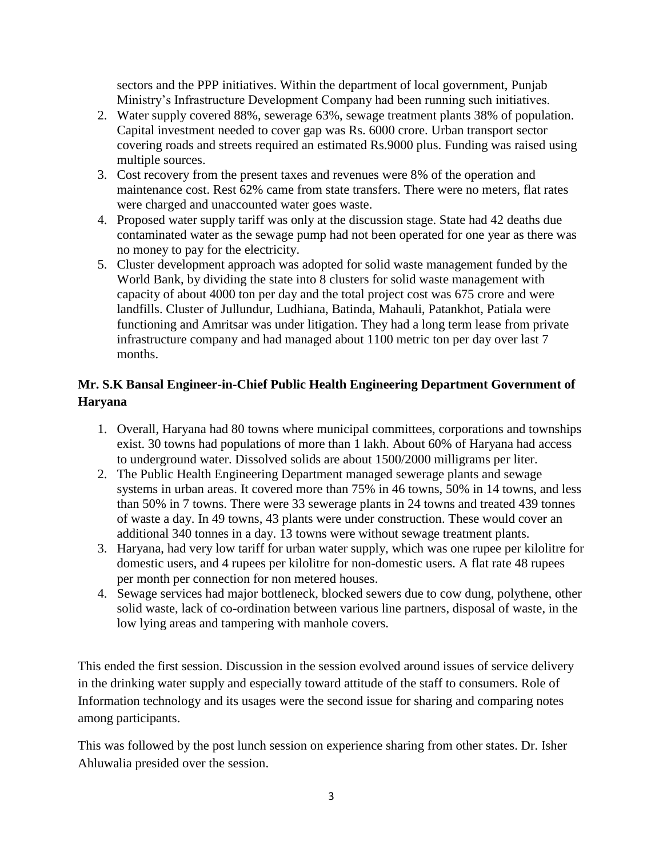sectors and the PPP initiatives. Within the department of local government, Punjab Ministry's Infrastructure Development Company had been running such initiatives.

- 2. Water supply covered 88%, sewerage 63%, sewage treatment plants 38% of population. Capital investment needed to cover gap was Rs. 6000 crore. Urban transport sector covering roads and streets required an estimated Rs.9000 plus. Funding was raised using multiple sources.
- 3. Cost recovery from the present taxes and revenues were 8% of the operation and maintenance cost. Rest 62% came from state transfers. There were no meters, flat rates were charged and unaccounted water goes waste.
- 4. Proposed water supply tariff was only at the discussion stage. State had 42 deaths due contaminated water as the sewage pump had not been operated for one year as there was no money to pay for the electricity.
- 5. Cluster development approach was adopted for solid waste management funded by the World Bank, by dividing the state into 8 clusters for solid waste management with capacity of about 4000 ton per day and the total project cost was 675 crore and were landfills. Cluster of Jullundur, Ludhiana, Batinda, Mahauli, Patankhot, Patiala were functioning and Amritsar was under litigation. They had a long term lease from private infrastructure company and had managed about 1100 metric ton per day over last 7 months.

# **Mr. S.K Bansal Engineer-in-Chief Public Health Engineering Department Government of Haryana**

- 1. Overall, Haryana had 80 towns where municipal committees, corporations and townships exist. 30 towns had populations of more than 1 lakh. About 60% of Haryana had access to underground water. Dissolved solids are about 1500/2000 milligrams per liter.
- 2. The Public Health Engineering Department managed sewerage plants and sewage systems in urban areas. It covered more than 75% in 46 towns, 50% in 14 towns, and less than 50% in 7 towns. There were 33 sewerage plants in 24 towns and treated 439 tonnes of waste a day. In 49 towns, 43 plants were under construction. These would cover an additional 340 tonnes in a day. 13 towns were without sewage treatment plants.
- 3. Haryana, had very low tariff for urban water supply, which was one rupee per kilolitre for domestic users, and 4 rupees per kilolitre for non-domestic users. A flat rate 48 rupees per month per connection for non metered houses.
- 4. Sewage services had major bottleneck, blocked sewers due to cow dung, polythene, other solid waste, lack of co-ordination between various line partners, disposal of waste, in the low lying areas and tampering with manhole covers.

This ended the first session. Discussion in the session evolved around issues of service delivery in the drinking water supply and especially toward attitude of the staff to consumers. Role of Information technology and its usages were the second issue for sharing and comparing notes among participants.

This was followed by the post lunch session on experience sharing from other states. Dr. Isher Ahluwalia presided over the session.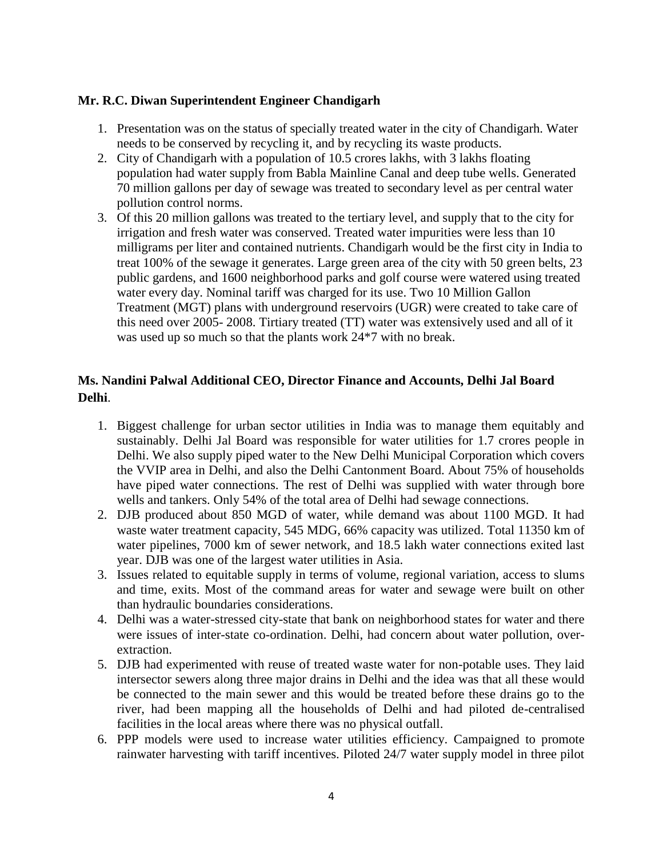## **Mr. R.C. Diwan Superintendent Engineer Chandigarh**

- 1. Presentation was on the status of specially treated water in the city of Chandigarh. Water needs to be conserved by recycling it, and by recycling its waste products.
- 2. City of Chandigarh with a population of 10.5 crores lakhs, with 3 lakhs floating population had water supply from Babla Mainline Canal and deep tube wells. Generated 70 million gallons per day of sewage was treated to secondary level as per central water pollution control norms.
- 3. Of this 20 million gallons was treated to the tertiary level, and supply that to the city for irrigation and fresh water was conserved. Treated water impurities were less than 10 milligrams per liter and contained nutrients. Chandigarh would be the first city in India to treat 100% of the sewage it generates. Large green area of the city with 50 green belts, 23 public gardens, and 1600 neighborhood parks and golf course were watered using treated water every day. Nominal tariff was charged for its use. Two 10 Million Gallon Treatment (MGT) plans with underground reservoirs (UGR) were created to take care of this need over 2005- 2008. Tirtiary treated (TT) water was extensively used and all of it was used up so much so that the plants work 24\*7 with no break.

# **Ms. Nandini Palwal Additional CEO, Director Finance and Accounts, Delhi Jal Board Delhi**.

- 1. Biggest challenge for urban sector utilities in India was to manage them equitably and sustainably. Delhi Jal Board was responsible for water utilities for 1.7 crores people in Delhi. We also supply piped water to the New Delhi Municipal Corporation which covers the VVIP area in Delhi, and also the Delhi Cantonment Board. About 75% of households have piped water connections. The rest of Delhi was supplied with water through bore wells and tankers. Only 54% of the total area of Delhi had sewage connections.
- 2. DJB produced about 850 MGD of water, while demand was about 1100 MGD. It had waste water treatment capacity, 545 MDG, 66% capacity was utilized. Total 11350 km of water pipelines, 7000 km of sewer network, and 18.5 lakh water connections exited last year. DJB was one of the largest water utilities in Asia.
- 3. Issues related to equitable supply in terms of volume, regional variation, access to slums and time, exits. Most of the command areas for water and sewage were built on other than hydraulic boundaries considerations.
- 4. Delhi was a water-stressed city-state that bank on neighborhood states for water and there were issues of inter-state co-ordination. Delhi, had concern about water pollution, overextraction.
- 5. DJB had experimented with reuse of treated waste water for non-potable uses. They laid intersector sewers along three major drains in Delhi and the idea was that all these would be connected to the main sewer and this would be treated before these drains go to the river, had been mapping all the households of Delhi and had piloted de-centralised facilities in the local areas where there was no physical outfall.
- 6. PPP models were used to increase water utilities efficiency. Campaigned to promote rainwater harvesting with tariff incentives. Piloted 24/7 water supply model in three pilot